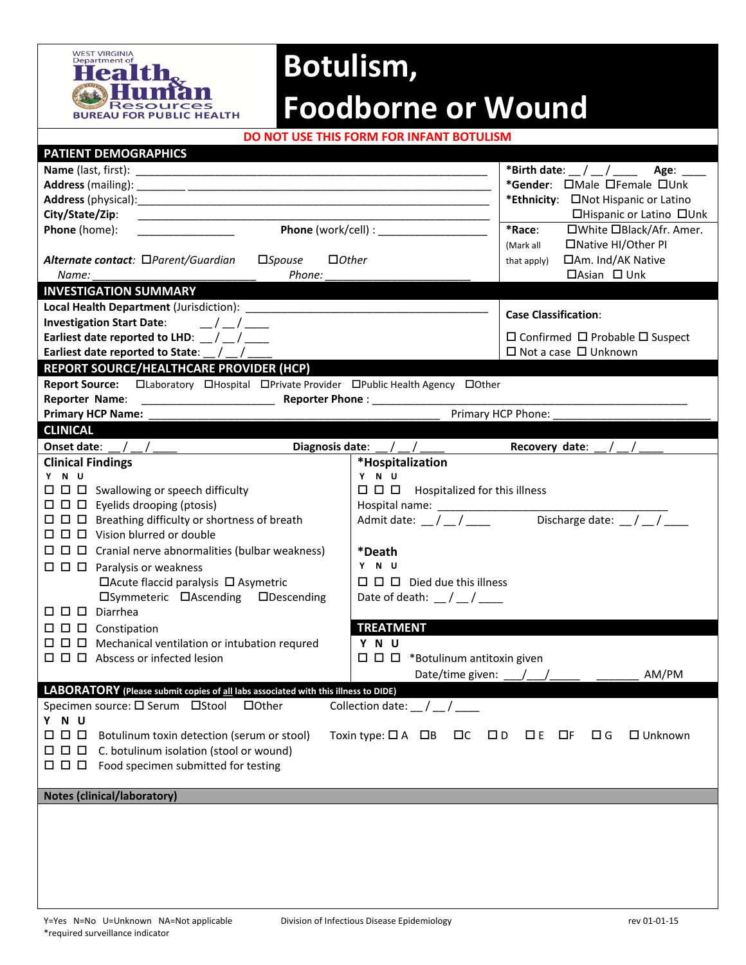

## **Botulism, Foodborne or Wound**

**DO NOT USE THIS FORM FOR INFANT BOTULISM**

| PATIENT DEMOGRAPHICS                                                                                                                                                 |                                                                                                                                                                                                                                     |  |  |  |  |  |
|----------------------------------------------------------------------------------------------------------------------------------------------------------------------|-------------------------------------------------------------------------------------------------------------------------------------------------------------------------------------------------------------------------------------|--|--|--|--|--|
|                                                                                                                                                                      |                                                                                                                                                                                                                                     |  |  |  |  |  |
|                                                                                                                                                                      | *Gender: OMale OFemale OUnk                                                                                                                                                                                                         |  |  |  |  |  |
|                                                                                                                                                                      | *Ethnicity: ONot Hispanic or Latino                                                                                                                                                                                                 |  |  |  |  |  |
| City/State/Zip:                                                                                                                                                      | □Hispanic or Latino □Unk                                                                                                                                                                                                            |  |  |  |  |  |
| Phone (home):                                                                                                                                                        | <b>Phone</b> (work/cell) :<br>*Race:<br>□White □Black/Afr. Amer.                                                                                                                                                                    |  |  |  |  |  |
|                                                                                                                                                                      | □Native HI/Other PI<br>(Mark all                                                                                                                                                                                                    |  |  |  |  |  |
| Alternate contact: □Parent/Guardian<br>$\square$ <i>Spouse</i><br>$\Box$ Other                                                                                       | □Am. Ind/AK Native<br>that apply)                                                                                                                                                                                                   |  |  |  |  |  |
| Phone:<br>Name:                                                                                                                                                      | $\Box$ Asian $\Box$ Unk                                                                                                                                                                                                             |  |  |  |  |  |
| <b>INVESTIGATION SUMMARY</b>                                                                                                                                         |                                                                                                                                                                                                                                     |  |  |  |  |  |
|                                                                                                                                                                      | <b>Case Classification:</b>                                                                                                                                                                                                         |  |  |  |  |  |
| <b>Investigation Start Date:</b><br>$\frac{1}{2}$                                                                                                                    |                                                                                                                                                                                                                                     |  |  |  |  |  |
| Earliest date reported to LHD: $\frac{1}{2}$ / $\frac{1}{2}$                                                                                                         | $\Box$ Confirmed $\Box$ Probable $\Box$ Suspect                                                                                                                                                                                     |  |  |  |  |  |
| Earliest date reported to State: _/ _                                                                                                                                | $\Box$ Not a case $\Box$ Unknown                                                                                                                                                                                                    |  |  |  |  |  |
| REPORT SOURCE/HEALTHCARE PROVIDER (HCP)                                                                                                                              |                                                                                                                                                                                                                                     |  |  |  |  |  |
| Report Source: Claboratory CHospital CPrivate Provider CPublic Health Agency COther                                                                                  |                                                                                                                                                                                                                                     |  |  |  |  |  |
|                                                                                                                                                                      | <b>Reporter Phone:</b> The contract of the contract of the contract of the contract of the contract of the contract of the contract of the contract of the contract of the contract of the contract of the contract of the contract |  |  |  |  |  |
| <b>Primary HCP Name:</b>                                                                                                                                             | Primary HCP Phone:                                                                                                                                                                                                                  |  |  |  |  |  |
| <b>CLINICAL</b>                                                                                                                                                      |                                                                                                                                                                                                                                     |  |  |  |  |  |
| Onset date: $\frac{1}{2}$ / $\frac{1}{2}$ / $\frac{1}{2}$                                                                                                            | Diagnosis date: $\_\/\_\/\_\$<br>Recovery date: $\frac{1}{2}$ / $\frac{1}{2}$                                                                                                                                                       |  |  |  |  |  |
| <b>Clinical Findings</b>                                                                                                                                             | *Hospitalization                                                                                                                                                                                                                    |  |  |  |  |  |
| Y N U<br>$\Box$ $\Box$ Swallowing or speech difficulty                                                                                                               | Y N U<br>$\square$ $\square$ Hospitalized for this illness                                                                                                                                                                          |  |  |  |  |  |
| $\Box$ $\Box$ Eyelids drooping (ptosis)                                                                                                                              |                                                                                                                                                                                                                                     |  |  |  |  |  |
|                                                                                                                                                                      | Discharge date: $\angle$ / $\angle$<br>Admit date: $\frac{1}{2}$ / $\frac{1}{2}$                                                                                                                                                    |  |  |  |  |  |
| $\Box$ $\Box$ $\Box$ Vision blurred or double                                                                                                                        |                                                                                                                                                                                                                                     |  |  |  |  |  |
|                                                                                                                                                                      |                                                                                                                                                                                                                                     |  |  |  |  |  |
|                                                                                                                                                                      | *Death<br>Y N U                                                                                                                                                                                                                     |  |  |  |  |  |
| $\Box$ $\Box$ Paralysis or weakness<br>$\Box$ Acute flaccid paralysis $\Box$ Asymetric                                                                               | $\Box$ $\Box$ $\Box$ Died due this illness                                                                                                                                                                                          |  |  |  |  |  |
| □Symmeteric □Ascending □Descending                                                                                                                                   | Date of death: $\frac{1}{2}$ / $\frac{1}{2}$                                                                                                                                                                                        |  |  |  |  |  |
| $\square$ $\square$ $\square$ Diarrhea                                                                                                                               |                                                                                                                                                                                                                                     |  |  |  |  |  |
| $\Box$ $\Box$ $\Box$ Constipation                                                                                                                                    | <b>TREATMENT</b>                                                                                                                                                                                                                    |  |  |  |  |  |
|                                                                                                                                                                      | Y N U                                                                                                                                                                                                                               |  |  |  |  |  |
| $\Box$ $\Box$ Abscess or infected lesion                                                                                                                             | $\Box$ $\Box$ *Botulinum antitoxin given                                                                                                                                                                                            |  |  |  |  |  |
|                                                                                                                                                                      | Date/time given: ___<br>AM/PM                                                                                                                                                                                                       |  |  |  |  |  |
|                                                                                                                                                                      |                                                                                                                                                                                                                                     |  |  |  |  |  |
| LABORATORY (Please submit copies of all labs associated with this illness to DIDE)<br>Specimen source: □ Serum □ Stool<br>$\Box$ Other                               | Collection date: $\angle$ / $\angle$ / $\angle$                                                                                                                                                                                     |  |  |  |  |  |
| Y N U                                                                                                                                                                |                                                                                                                                                                                                                                     |  |  |  |  |  |
| $\Box$ $\Box$ $\Box$<br>Botulinum toxin detection (serum or stool)<br>Toxin type: $\Box$ A $\Box$ B<br>$\Box G$<br>$\Box$ Unknown<br>$\Box$<br>$\Box$ D<br>$DE$ $DF$ |                                                                                                                                                                                                                                     |  |  |  |  |  |
| C. botulinum isolation (stool or wound)<br>0 0 0                                                                                                                     |                                                                                                                                                                                                                                     |  |  |  |  |  |
| $\Box$ $\Box$ $\Box$<br>Food specimen submitted for testing                                                                                                          |                                                                                                                                                                                                                                     |  |  |  |  |  |
|                                                                                                                                                                      |                                                                                                                                                                                                                                     |  |  |  |  |  |
| <b>Notes (clinical/laboratory)</b>                                                                                                                                   |                                                                                                                                                                                                                                     |  |  |  |  |  |
|                                                                                                                                                                      |                                                                                                                                                                                                                                     |  |  |  |  |  |
|                                                                                                                                                                      |                                                                                                                                                                                                                                     |  |  |  |  |  |
|                                                                                                                                                                      |                                                                                                                                                                                                                                     |  |  |  |  |  |
|                                                                                                                                                                      |                                                                                                                                                                                                                                     |  |  |  |  |  |
|                                                                                                                                                                      |                                                                                                                                                                                                                                     |  |  |  |  |  |
|                                                                                                                                                                      |                                                                                                                                                                                                                                     |  |  |  |  |  |
|                                                                                                                                                                      |                                                                                                                                                                                                                                     |  |  |  |  |  |